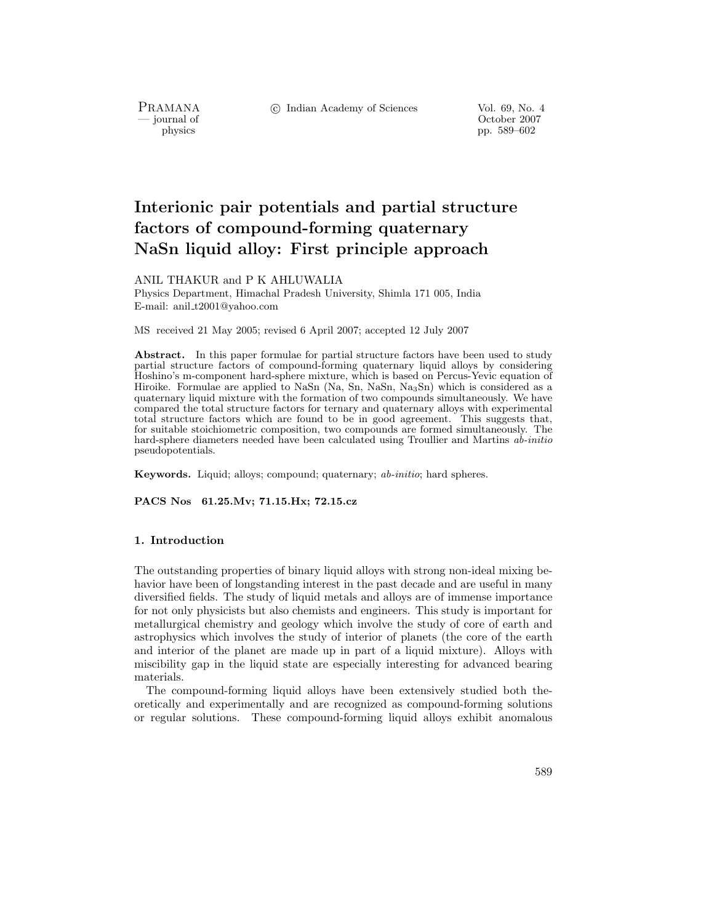PRAMANA<br>
— journal of

c Indian Academy of Sciences Vol. 69, No. 4

urnal of Corollace Corollace Corollace Corollace Corollace Corollace Corollace Corollace Corollace Corollace Corollace Corollace Corollace Corollace Corollace Corollace Corollace Corollace Corollace Corollace Corollace Cor physics pp. 589–602

# **Interionic pair potentials and partial structure factors of compound-forming quaternary NaSn liquid alloy: First principle approach**

ANIL THAKUR and P K AHLUWALIA

Physics Department, Himachal Pradesh University, Shimla 171 005, India E-mail: anil t2001@yahoo.com

MS received 21 May 2005; revised 6 April 2007; accepted 12 July 2007

Abstract. In this paper formulae for partial structure factors have been used to study partial structure factors of compound-forming quaternary liquid alloys by considering Hoshino's m-component hard-sphere mixture, which is based on Percus-Yevic equation of Hiroike. Formulae are applied to NaSn (Na, Sn, NaSn, Na3Sn) which is considered as a quaternary liquid mixture with the formation of two compounds simultaneously. We have compared the total structure factors for ternary and quaternary alloys with experimental total structure factors which are found to be in good agreement. This suggests that, for suitable stoichiometric composition, two compounds are formed simultaneously. The hard-sphere diameters needed have been calculated using Troullier and Martins *ab-initio* pseudopotentials.

**Keywords.** Liquid; alloys; compound; quaternary; *ab-initio*; hard spheres.

**PACS Nos 61.25.Mv; 71.15.Hx; 72.15.cz**

#### **1. Introduction**

The outstanding properties of binary liquid alloys with strong non-ideal mixing behavior have been of longstanding interest in the past decade and are useful in many diversified fields. The study of liquid metals and alloys are of immense importance for not only physicists but also chemists and engineers. This study is important for metallurgical chemistry and geology which involve the study of core of earth and astrophysics which involves the study of interior of planets (the core of the earth and interior of the planet are made up in part of a liquid mixture). Alloys with miscibility gap in the liquid state are especially interesting for advanced bearing materials.

The compound-forming liquid alloys have been extensively studied both theoretically and experimentally and are recognized as compound-forming solutions or regular solutions. These compound-forming liquid alloys exhibit anomalous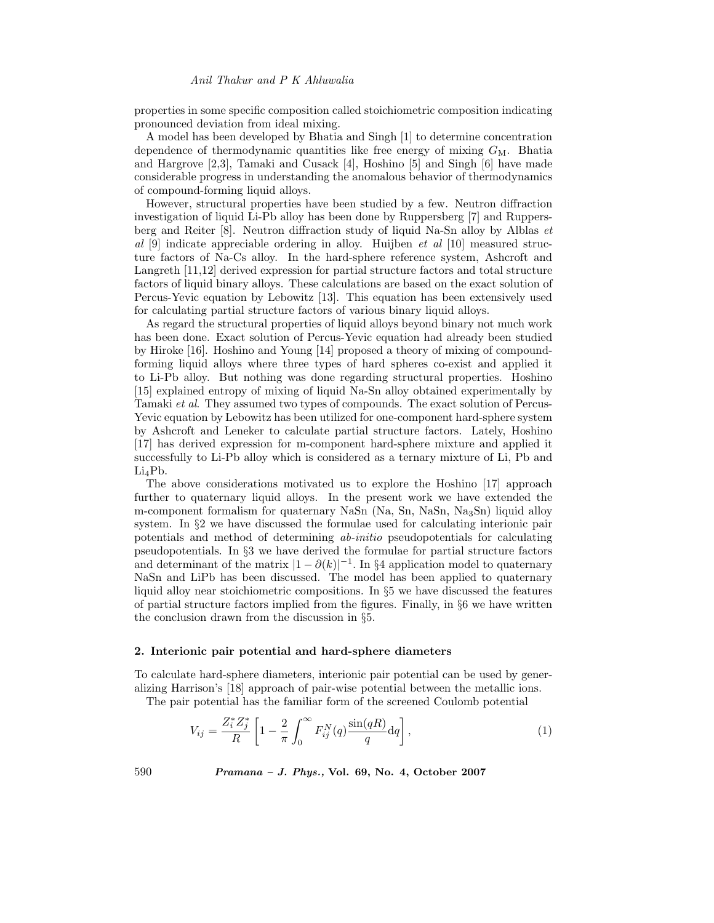properties in some specific composition called stoichiometric composition indicating pronounced deviation from ideal mixing.

A model has been developed by Bhatia and Singh [1] to determine concentration dependence of thermodynamic quantities like free energy of mixing  $G_M$ . Bhatia and Hargrove [2,3], Tamaki and Cusack [4], Hoshino [5] and Singh [6] have made considerable progress in understanding the anomalous behavior of thermodynamics of compound-forming liquid alloys.

However, structural properties have been studied by a few. Neutron diffraction investigation of liquid Li-Pb alloy has been done by Ruppersberg [7] and Ruppersberg and Reiter [8]. Neutron diffraction study of liquid Na-Sn alloy by Alblas *et al* [9] indicate appreciable ordering in alloy. Huijben *et al* [10] measured structure factors of Na-Cs alloy. In the hard-sphere reference system, Ashcroft and Langreth [11,12] derived expression for partial structure factors and total structure factors of liquid binary alloys. These calculations are based on the exact solution of Percus-Yevic equation by Lebowitz [13]. This equation has been extensively used for calculating partial structure factors of various binary liquid alloys.

As regard the structural properties of liquid alloys beyond binary not much work has been done. Exact solution of Percus-Yevic equation had already been studied by Hiroke [16]. Hoshino and Young [14] proposed a theory of mixing of compoundforming liquid alloys where three types of hard spheres co-exist and applied it to Li-Pb alloy. But nothing was done regarding structural properties. Hoshino [15] explained entropy of mixing of liquid Na-Sn alloy obtained experimentally by Tamaki *et al*. They assumed two types of compounds. The exact solution of Percus-Yevic equation by Lebowitz has been utilized for one-component hard-sphere system by Ashcroft and Leneker to calculate partial structure factors. Lately, Hoshino [17] has derived expression for m-component hard-sphere mixture and applied it successfully to Li-Pb alloy which is considered as a ternary mixture of Li, Pb and  $Li$ <sub>1</sub>Pb.

The above considerations motivated us to explore the Hoshino [17] approach further to quaternary liquid alloys. In the present work we have extended the m-component formalism for quaternary NaSn (Na, Sn, NaSn, Na3Sn) liquid alloy system. In §2 we have discussed the formulae used for calculating interionic pair potentials and method of determining *ab-initio* pseudopotentials for calculating pseudopotentials. In §3 we have derived the formulae for partial structure factors and determinant of the matrix  $|1 - \partial(k)|^{-1}$ . In §4 application model to quaternary NaSn and LiPb has been discussed. The model has been applied to quaternary liquid alloy near stoichiometric compositions. In §5 we have discussed the features of partial structure factors implied from the figures. Finally, in §6 we have written the conclusion drawn from the discussion in §5.

#### **2. Interionic pair potential and hard-sphere diameters**

To calculate hard-sphere diameters, interionic pair potential can be used by generalizing Harrison's [18] approach of pair-wise potential between the metallic ions.

The pair potential has the familiar form of the screened Coulomb potential

$$
V_{ij} = \frac{Z_i^* Z_j^*}{R} \left[ 1 - \frac{2}{\pi} \int_0^\infty F_{ij}^N(q) \frac{\sin(qR)}{q} dq \right],
$$
 (1)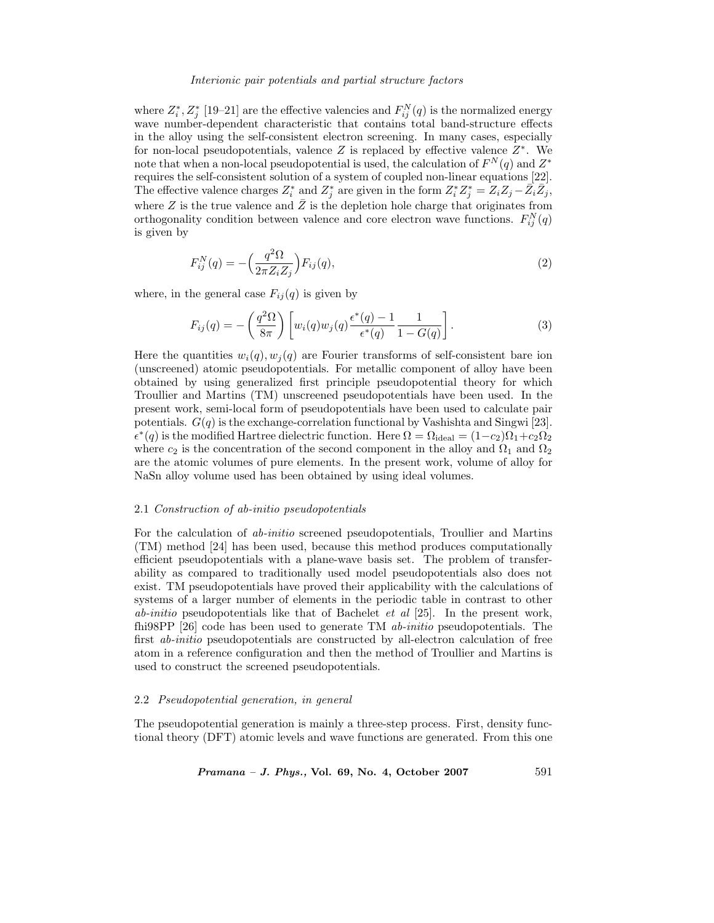#### *Interionic pair potentials and partial structure factors*

where  $Z_i^*, Z_j^*$  [19–21] are the effective valencies and  $F_{ij}^N(q)$  is the normalized energy wave number-dependent characteristic that contains total band-structure effects in the alloy using the self-consistent electron screening. In many cases, especially for non-local pseudopotentials, valence  $Z$  is replaced by effective valence  $Z^*$ . We note that when a non-local pseudopotential is used, the calculation of  $F^{N}(q)$  and  $Z^*$ requires the self-consistent solution of a system of coupled non-linear equations [22]. The effective valence charges  $Z_i^*$  and  $Z_j^*$  are given in the form  $Z_i^* Z_j^* = Z_i Z_j - \overline{Z}_i \overline{Z}_j$ , where  $Z$  is the true valence and  $\bar{Z}$  is the depletion hole charge that originates from orthogonality condition between valence and core electron wave functions.  $F_{ij}^N(q)$ is given by

$$
F_{ij}^N(q) = -\left(\frac{q^2\Omega}{2\pi Z_i Z_j}\right) F_{ij}(q),\tag{2}
$$

where, in the general case  $F_{ij}(q)$  is given by

$$
F_{ij}(q) = -\left(\frac{q^2\Omega}{8\pi}\right) \left[w_i(q)w_j(q)\frac{\epsilon^*(q)-1}{\epsilon^*(q)}\frac{1}{1-G(q)}\right].\tag{3}
$$

Here the quantities  $w_i(q), w_j(q)$  are Fourier transforms of self-consistent bare ion (unscreened) atomic pseudopotentials. For metallic component of alloy have been obtained by using generalized first principle pseudopotential theory for which Troullier and Martins (TM) unscreened pseudopotentials have been used. In the present work, semi-local form of pseudopotentials have been used to calculate pair potentials.  $G(q)$  is the exchange-correlation functional by Vashishta and Singwi [23].  $\epsilon^*(q)$  is the modified Hartree dielectric function. Here  $\Omega = \Omega_{\text{ideal}} = (1-c_2)\Omega_1 + c_2\Omega_2$ where  $c_2$  is the concentration of the second component in the alloy and  $\Omega_1$  and  $\Omega_2$ are the atomic volumes of pure elements. In the present work, volume of alloy for NaSn alloy volume used has been obtained by using ideal volumes.

#### 2.1 *Construction of ab-initio pseudopotentials*

For the calculation of *ab-initio* screened pseudopotentials, Troullier and Martins (TM) method [24] has been used, because this method produces computationally efficient pseudopotentials with a plane-wave basis set. The problem of transferability as compared to traditionally used model pseudopotentials also does not exist. TM pseudopotentials have proved their applicability with the calculations of systems of a larger number of elements in the periodic table in contrast to other *ab-initio* pseudopotentials like that of Bachelet *et al* [25]. In the present work, fhi98PP [26] code has been used to generate TM *ab-initio* pseudopotentials. The first *ab-initio* pseudopotentials are constructed by all-electron calculation of free atom in a reference configuration and then the method of Troullier and Martins is used to construct the screened pseudopotentials.

## 2.2 *Pseudopotential generation, in general*

The pseudopotential generation is mainly a three-step process. First, density functional theory (DFT) atomic levels and wave functions are generated. From this one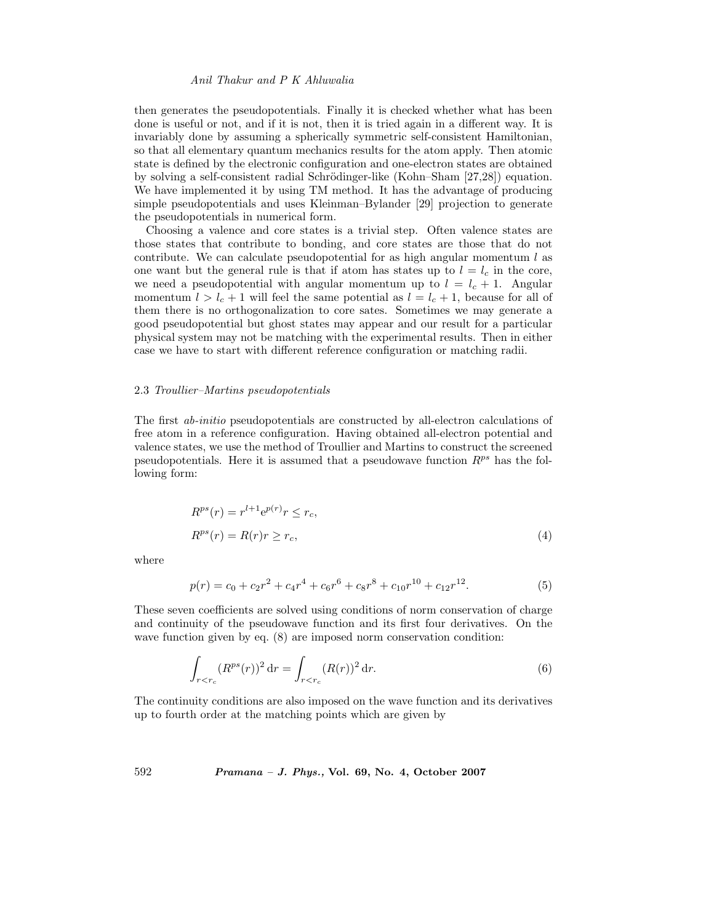## *Anil Thakur and P K Ahluwalia*

then generates the pseudopotentials. Finally it is checked whether what has been done is useful or not, and if it is not, then it is tried again in a different way. It is invariably done by assuming a spherically symmetric self-consistent Hamiltonian, so that all elementary quantum mechanics results for the atom apply. Then atomic state is defined by the electronic configuration and one-electron states are obtained by solving a self-consistent radial Schrödinger-like (Kohn–Sham [27,28]) equation. We have implemented it by using TM method. It has the advantage of producing simple pseudopotentials and uses Kleinman–Bylander [29] projection to generate the pseudopotentials in numerical form.

Choosing a valence and core states is a trivial step. Often valence states are those states that contribute to bonding, and core states are those that do not contribute. We can calculate pseudopotential for as high angular momentum  $l$  as one want but the general rule is that if atom has states up to  $l = l_c$  in the core, we need a pseudopotential with angular momentum up to  $l = l_c + 1$ . Angular momentum  $l > l_c + 1$  will feel the same potential as  $l = l_c + 1$ , because for all of them there is no orthogonalization to core sates. Sometimes we may generate a good pseudopotential but ghost states may appear and our result for a particular physical system may not be matching with the experimental results. Then in either case we have to start with different reference configuration or matching radii.

# 2.3 *Troullier–Martins pseudopotentials*

The first *ab-initio* pseudopotentials are constructed by all-electron calculations of free atom in a reference configuration. Having obtained all-electron potential and valence states, we use the method of Troullier and Martins to construct the screened pseudopotentials. Here it is assumed that a pseudowave function  $R^{ps}$  has the following form:

$$
R^{ps}(r) = r^{l+1} e^{p(r)} r \le r_c,
$$
  
\n
$$
R^{ps}(r) = R(r)r \ge r_c,
$$
\n(4)

where

$$
p(r) = c_0 + c_2r^2 + c_4r^4 + c_6r^6 + c_8r^8 + c_{10}r^{10} + c_{12}r^{12}.
$$
 (5)

These seven coefficients are solved using conditions of norm conservation of charge and continuity of the pseudowave function and its first four derivatives. On the wave function given by eq.  $(8)$  are imposed norm conservation condition:

$$
\int_{r < r_c} (R^{ps}(r))^2 \, \mathrm{d}r = \int_{r < r_c} (R(r))^2 \, \mathrm{d}r. \tag{6}
$$

The continuity conditions are also imposed on the wave function and its derivatives up to fourth order at the matching points which are given by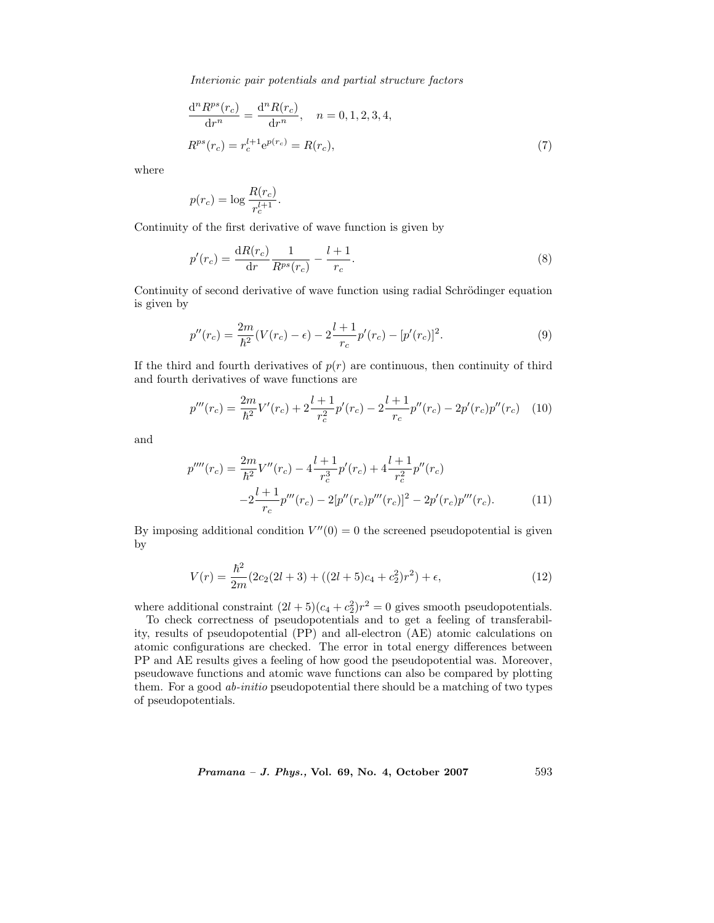*Interionic pair potentials and partial structure factors*

$$
\frac{d^n R^{ps}(r_c)}{dr^n} = \frac{d^n R(r_c)}{dr^n}, \quad n = 0, 1, 2, 3, 4,
$$
\n
$$
R^{ps}(r_c) = r_c^{l+1} e^{p(r_c)} = R(r_c),
$$
\n(7)

where

$$
p(r_c) = \log \frac{R(r_c)}{r_c^{l+1}}.
$$

Continuity of the first derivative of wave function is given by

$$
p'(r_c) = \frac{dR(r_c)}{dr} \frac{1}{R^{ps}(r_c)} - \frac{l+1}{r_c}.
$$
\n(8)

Continuity of second derivative of wave function using radial Schrödinger equation is given by

$$
p''(r_c) = \frac{2m}{\hbar^2} (V(r_c) - \epsilon) - 2 \frac{l+1}{r_c} p'(r_c) - [p'(r_c)]^2.
$$
 (9)

If the third and fourth derivatives of  $p(r)$  are continuous, then continuity of third and fourth derivatives of wave functions are

$$
p'''(r_c) = \frac{2m}{\hbar^2} V'(r_c) + 2\frac{l+1}{r_c^2} p'(r_c) - 2\frac{l+1}{r_c} p''(r_c) - 2p'(r_c) p''(r_c) \quad (10)
$$

and

$$
p''''(r_c) = \frac{2m}{\hbar^2} V''(r_c) - 4\frac{l+1}{r_c^3} p'(r_c) + 4\frac{l+1}{r_c^2} p''(r_c)
$$

$$
-2\frac{l+1}{r_c} p'''(r_c) - 2[p''(r_c)p'''(r_c)]^2 - 2p'(r_c)p'''(r_c).
$$
 (11)

By imposing additional condition  $V''(0) = 0$  the screened pseudopotential is given by

$$
V(r) = \frac{\hbar^2}{2m}(2c_2(2l+3) + ((2l+5)c_4 + c_2^2)r^2) + \epsilon,
$$
\n(12)

where additional constraint  $(2l + 5)(c_4 + c_2^2)r^2 = 0$  gives smooth pseudopotentials.

To check correctness of pseudopotentials and to get a feeling of transferability, results of pseudopotential (PP) and all-electron (AE) atomic calculations on atomic configurations are checked. The error in total energy differences between PP and AE results gives a feeling of how good the pseudopotential was. Moreover, pseudowave functions and atomic wave functions can also be compared by plotting them. For a good *ab-initio* pseudopotential there should be a matching of two types of pseudopotentials.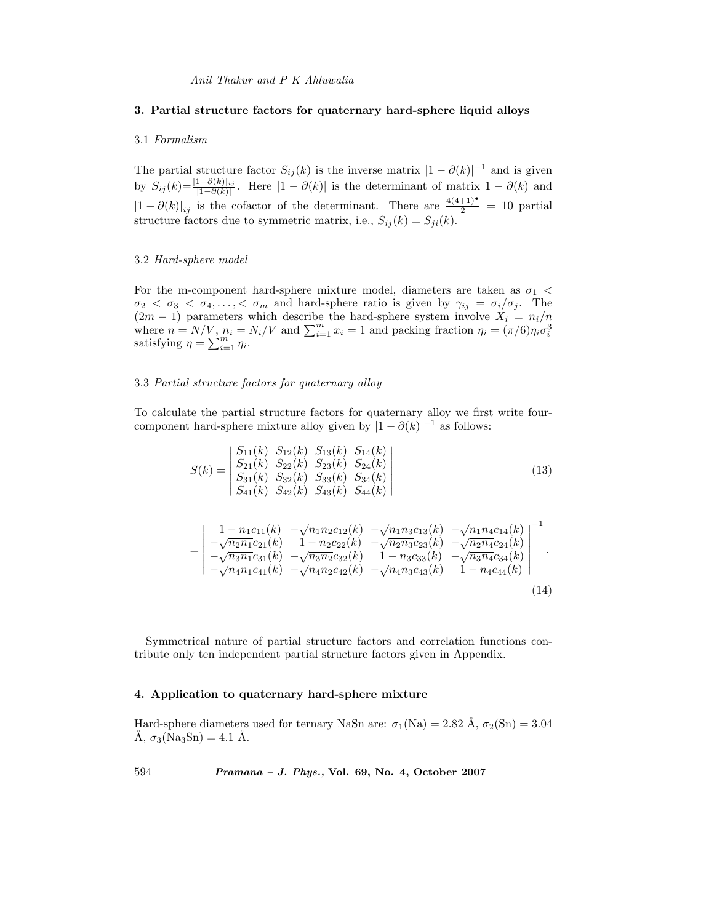# **3. Partial structure factors for quaternary hard-sphere liquid alloys**

#### 3.1 *Formalism*

The partial structure factor  $S_{ij}(k)$  is the inverse matrix  $|1 - \partial(k)|^{-1}$  and is given by  $S_{ij}(k) = \frac{|1-\partial(k)|}{|1-\partial(k)|}$ . Here  $|1-\partial(k)|$  is the determinant of matrix  $1-\partial(k)$  and  $|1 - \partial(k)|_{ij}$  is the cofactor of the determinant. There are  $\frac{4(4+1)^{2}}{2} = 10$  partial structure factors due to symmetric matrix, i.e.,  $S_{ij}(k) = S_{ji}(k)$ .

#### 3.2 *Hard-sphere model*

For the m-component hard-sphere mixture model, diameters are taken as  $\sigma_1$  <  $\sigma_2 < \sigma_3 < \sigma_4, \ldots, < \sigma_m$  and hard-sphere ratio is given by  $\gamma_{ij} = \sigma_i/\sigma_j$ . The  $(2m-1)$  parameters which describe the hard-sphere system involve  $X_i = n_i/n$ where  $n = N/V$ ,  $n_i = N_i/V$  and  $\sum_{i=1}^{m} x_i = 1$  and packing fraction  $\eta_i = (\pi/6)\eta_i\sigma_i^3$  satisfying  $\eta = \sum_{i=1}^{m} \eta_i$ .

## 3.3 *Partial structure factors for quaternary alloy*

To calculate the partial structure factors for quaternary alloy we first write fourcomponent hard-sphere mixture alloy given by  $|1 - \partial(k)|^{-1}$  as follows:

$$
S(k) = \begin{vmatrix} S_{11}(k) & S_{12}(k) & S_{13}(k) & S_{14}(k) \\ S_{21}(k) & S_{22}(k) & S_{23}(k) & S_{24}(k) \\ S_{31}(k) & S_{32}(k) & S_{33}(k) & S_{34}(k) \\ S_{41}(k) & S_{42}(k) & S_{43}(k) & S_{44}(k) \end{vmatrix} \tag{13}
$$

$$
= \begin{vmatrix} 1 - n_1 c_{11}(k) & -\sqrt{n_1 n_2} c_{12}(k) & -\sqrt{n_1 n_3} c_{13}(k) & -\sqrt{n_1 n_4} c_{14}(k) \\ -\sqrt{n_2 n_1} c_{21}(k) & 1 - n_2 c_{22}(k) & -\sqrt{n_2 n_3} c_{23}(k) & -\sqrt{n_2 n_4} c_{24}(k) \\ -\sqrt{n_3 n_1} c_{31}(k) & -\sqrt{n_3 n_2} c_{32}(k) & 1 - n_3 c_{33}(k) & -\sqrt{n_3 n_4} c_{34}(k) \\ -\sqrt{n_4 n_1} c_{41}(k) & -\sqrt{n_4 n_2} c_{42}(k) & -\sqrt{n_4 n_3} c_{43}(k) & 1 - n_4 c_{44}(k) \end{vmatrix}^{-1}.
$$
\n
$$
(14)
$$

Symmetrical nature of partial structure factors and correlation functions contribute only ten independent partial structure factors given in Appendix.

# **4. Application to quaternary hard-sphere mixture**

Hard-sphere diameters used for ternary NaSn are:  $\sigma_1(Na) = 2.82 \text{ Å}, \sigma_2(Sn) = 3.04 \text{ Å}, \sigma_3(Na_3Sn) = 4.1 \text{ Å}.$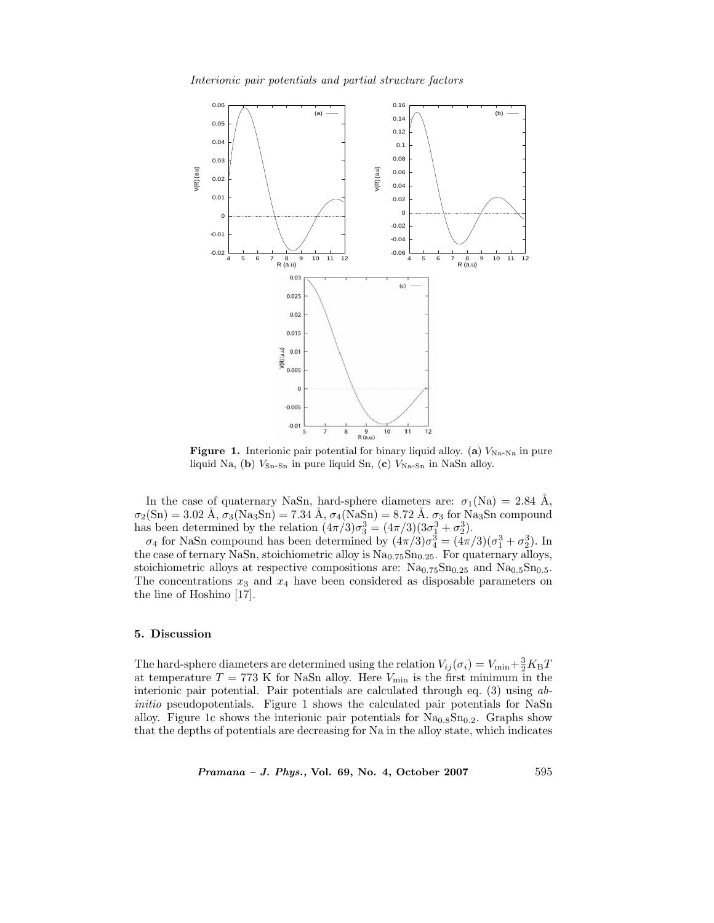*Interionic pair potentials and partial structure factors*



**Figure 1.** Interionic pair potential for binary liquid alloy. (a)  $V_{\text{Na-Na}}$  in pure liquid Na, (**b**)  $V_{\text{Sn-Sn}}$  in pure liquid Sn, (**c**)  $V_{\text{Na-Sn}}$  in NaSn alloy.

In the case of quaternary NaSn, hard-sphere diameters are:  $\sigma_1(Na) = 2.84$  Å,  $\sigma_2(\text{Sn}) = 3.02 \text{ Å}, \sigma_3(\text{Na}_3\text{Sn}) = 7.34 \text{ Å}, \sigma_4(\text{Na}\text{Sn}) = 8.72 \text{ Å}. \sigma_3 \text{ for Na}_3\text{Sn}$  compound has been determined by the relation  $(4\pi/3)\sigma_3^3 = (4\pi/3)(3\sigma_1^3 + \sigma_2^3)$ .

 $\sigma_4$  for NaSn compound has been determined by  $(4\pi/3)\sigma_4^3 = (4\pi/3)(\sigma_1^3 + \sigma_2^3)$ . In the case of ternary NaSn, stoichiometric alloy is  $Na<sub>0.75</sub>Sn<sub>0.25</sub>$ . For quaternary alloys, stoichiometric alloys at respective compositions are:  $\text{Na}_{0.75}\text{Sn}_{0.25}$  and  $\text{Na}_{0.5}\text{Sn}_{0.5}$ . The concentrations  $x_3$  and  $x_4$  have been considered as disposable parameters on the line of Hoshino [17].

# **5. Discussion**

The hard-sphere diameters are determined using the relation  $V_{ij}(\sigma_i) = V_{\text{min}} + \frac{3}{2}K_B T$ at temperature  $T = 773$  K for NaSn alloy. Here  $V_{\text{min}}$  is the first minimum in the interionic pair potential. Pair potentials are calculated through eq. (3) using *abinitio* pseudopotentials. Figure 1 shows the calculated pair potentials for NaSn alloy. Figure 1c shows the interionic pair potentials for  $Na<sub>0.8</sub>Sn<sub>0.2</sub>$ . Graphs show that the depths of potentials are decreasing for Na in the alloy state, which indicates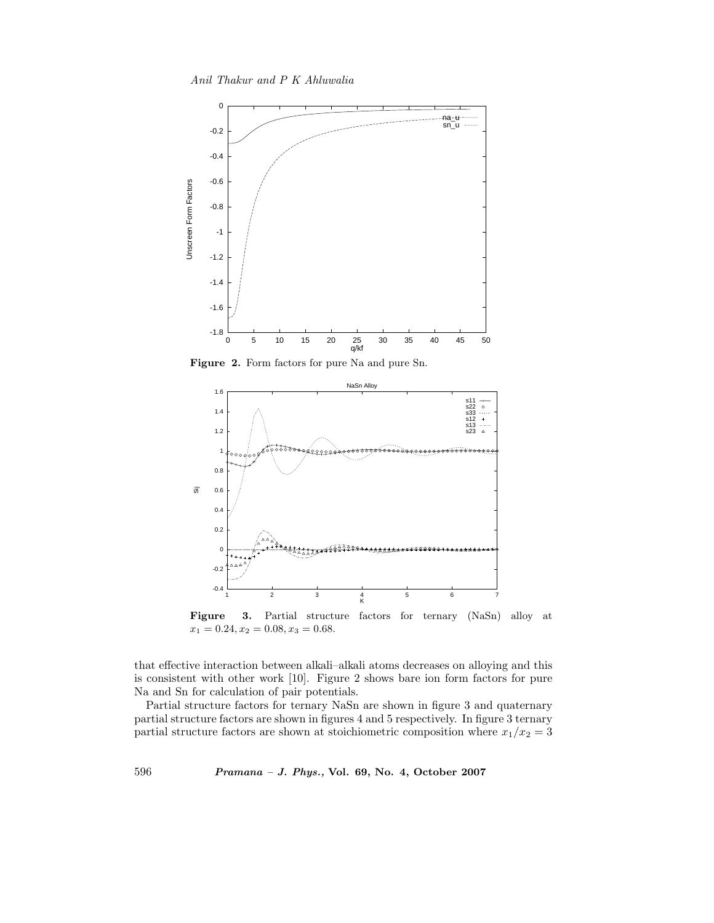*Anil Thakur and P K Ahluwalia*



**Figure 2.** Form factors for pure Na and pure Sn.



**Figure 3.** Partial structure factors for ternary (NaSn) alloy at  $x_1 = 0.24, x_2 = 0.08, x_3 = 0.68.$ 

that effective interaction between alkali–alkali atoms decreases on alloying and this is consistent with other work [10]. Figure 2 shows bare ion form factors for pure Na and Sn for calculation of pair potentials.

Partial structure factors for ternary NaSn are shown in figure 3 and quaternary partial structure factors are shown in figures 4 and 5 respectively. In figure 3 ternary partial structure factors are shown at stoichiometric composition where  $x_1/x_2 = 3$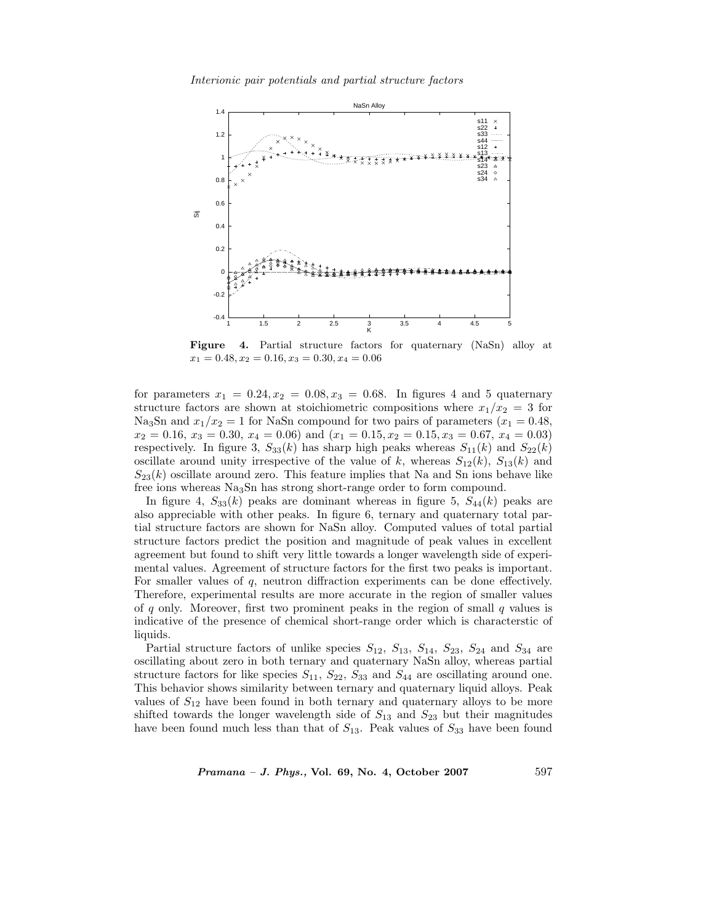*Interionic pair potentials and partial structure factors*



**Figure 4.** Partial structure factors for quaternary (NaSn) alloy at  $x_1 = 0.48, x_2 = 0.16, x_3 = 0.30, x_4 = 0.06$ 

for parameters  $x_1 = 0.24, x_2 = 0.08, x_3 = 0.68$ . In figures 4 and 5 quaternary structure factors are shown at stoichiometric compositions where  $x_1/x_2 = 3$  for Na<sub>3</sub>Sn and  $x_1/x_2 = 1$  for NaSn compound for two pairs of parameters  $(x_1 = 0.48,$  $x_2 = 0.16$ ,  $x_3 = 0.30$ ,  $x_4 = 0.06$ ) and  $(x_1 = 0.15, x_2 = 0.15, x_3 = 0.67, x_4 = 0.03)$ respectively. In figure 3,  $S_{33}(k)$  has sharp high peaks whereas  $S_{11}(k)$  and  $S_{22}(k)$ oscillate around unity irrespective of the value of k, whereas  $S_{12}(k)$ ,  $S_{13}(k)$  and  $S_{23}(k)$  oscillate around zero. This feature implies that Na and Sn ions behave like free ions whereas Na3Sn has strong short-range order to form compound.

In figure 4,  $S_{33}(k)$  peaks are dominant whereas in figure 5,  $S_{44}(k)$  peaks are also appreciable with other peaks. In figure 6, ternary and quaternary total partial structure factors are shown for NaSn alloy. Computed values of total partial structure factors predict the position and magnitude of peak values in excellent agreement but found to shift very little towards a longer wavelength side of experimental values. Agreement of structure factors for the first two peaks is important. For smaller values of q, neutron diffraction experiments can be done effectively. Therefore, experimental results are more accurate in the region of smaller values of q only. Moreover, first two prominent peaks in the region of small q values is indicative of the presence of chemical short-range order which is characterstic of liquids.

Partial structure factors of unlike species  $S_{12}$ ,  $S_{13}$ ,  $S_{14}$ ,  $S_{23}$ ,  $S_{24}$  and  $S_{34}$  are oscillating about zero in both ternary and quaternary NaSn alloy, whereas partial structure factors for like species  $S_{11}$ ,  $S_{22}$ ,  $S_{33}$  and  $S_{44}$  are oscillating around one. This behavior shows similarity between ternary and quaternary liquid alloys. Peak values of  $S_{12}$  have been found in both ternary and quaternary alloys to be more shifted towards the longer wavelength side of  $S_{13}$  and  $S_{23}$  but their magnitudes have been found much less than that of  $S_{13}$ . Peak values of  $S_{33}$  have been found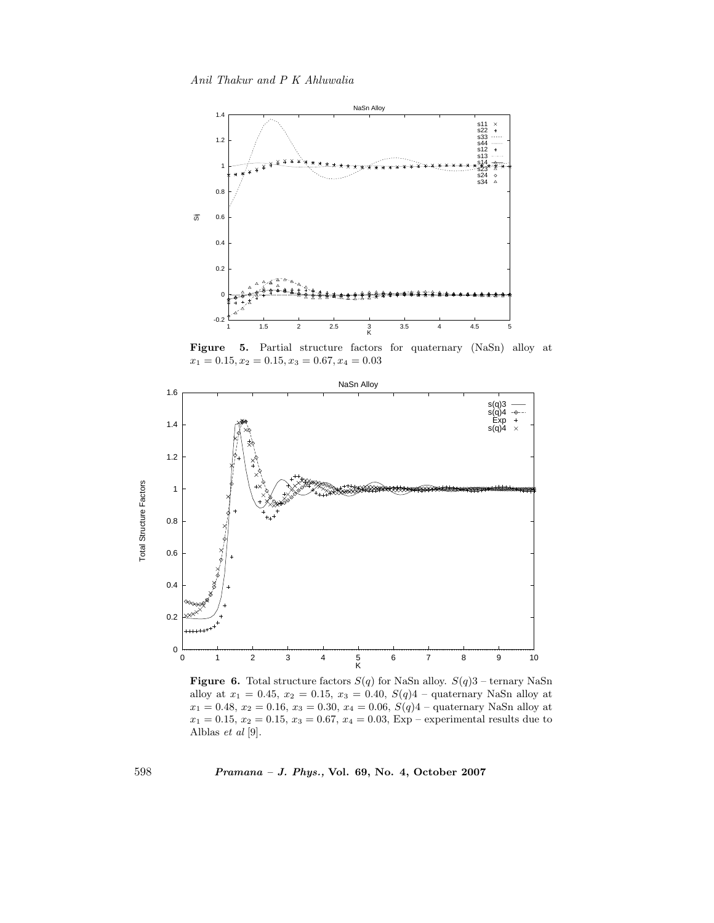*Anil Thakur and P K Ahluwalia*



**Figure 5.** Partial structure factors for quaternary (NaSn) alloy at  $x_1 = 0.15, x_2 = 0.15, x_3 = 0.67, x_4 = 0.03$ 



**Figure 6.** Total structure factors  $S(q)$  for NaSn alloy.  $S(q)3$  – ternary NaSn alloy at  $x_1 = 0.45$ ,  $x_2 = 0.15$ ,  $x_3 = 0.40$ ,  $S(q)4$  – quaternary NaSn alloy at  $x_1 = 0.48, x_2 = 0.16, x_3 = 0.30, x_4 = 0.06, S(q)4 - \text{quaternary NaSn alloy at}$  $x_1 = 0.15, x_2 = 0.15, x_3 = 0.67, x_4 = 0.03, \text{Exp}-\text{experimental results due to}$ Alblas *et al* [9].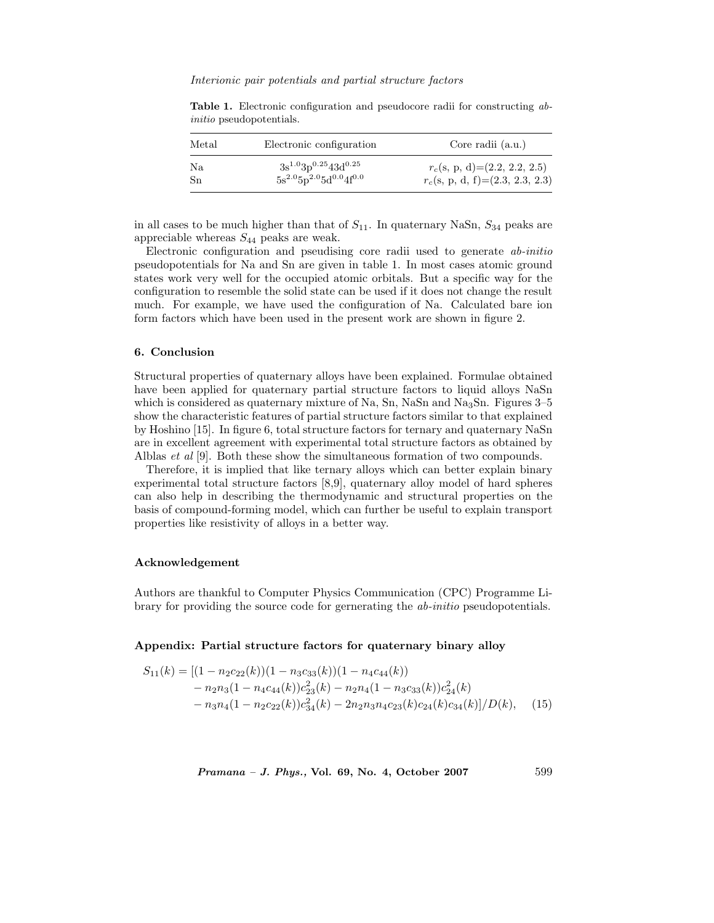| Metal | Electronic configuration           | Core radii (a.u.)                  |
|-------|------------------------------------|------------------------------------|
| Na    | $3s^{1.0}3p^{0.25}43d^{0.25}$      | $r_c$ (s, p, d)=(2.2, 2.2, 2.5)    |
| Sn    | $5s^{2.0}5p^{2.0}5d^{0.0}4f^{0.0}$ | $r_c$ (s, p, d, f)=(2.3, 2.3, 2.3) |

**Table 1.** Electronic configuration and pseudocore radii for constructing *abinitio* pseudopotentials.

in all cases to be much higher than that of  $S_{11}$ . In quaternary NaSn,  $S_{34}$  peaks are appreciable whereas  $S_{44}$  peaks are weak.

Electronic configuration and pseudising core radii used to generate *ab-initio* pseudopotentials for Na and Sn are given in table 1. In most cases atomic ground states work very well for the occupied atomic orbitals. But a specific way for the configuration to resemble the solid state can be used if it does not change the result much. For example, we have used the configuration of Na. Calculated bare ion form factors which have been used in the present work are shown in figure 2.

# **6. Conclusion**

Structural properties of quaternary alloys have been explained. Formulae obtained have been applied for quaternary partial structure factors to liquid alloys NaSn which is considered as quaternary mixture of Na, Sn, NaSn and Na<sub>3</sub>Sn. Figures  $3-5$ show the characteristic features of partial structure factors similar to that explained by Hoshino [15]. In figure 6, total structure factors for ternary and quaternary NaSn are in excellent agreement with experimental total structure factors as obtained by Alblas *et al* [9]. Both these show the simultaneous formation of two compounds.

Therefore, it is implied that like ternary alloys which can better explain binary experimental total structure factors [8,9], quaternary alloy model of hard spheres can also help in describing the thermodynamic and structural properties on the basis of compound-forming model, which can further be useful to explain transport properties like resistivity of alloys in a better way.

#### **Acknowledgement**

Authors are thankful to Computer Physics Communication (CPC) Programme Library for providing the source code for gernerating the *ab-initio* pseudopotentials.

## **Appendix: Partial structure factors for quaternary binary alloy**

$$
S_{11}(k) = [(1 - n_2 c_{22}(k))(1 - n_3 c_{33}(k))(1 - n_4 c_{44}(k))
$$
  
- n<sub>2</sub>n<sub>3</sub>(1 - n<sub>4</sub>c<sub>44</sub>(k))c<sub>23</sub><sup>2</sup>(k) - n<sub>2</sub>n<sub>4</sub>(1 - n<sub>3</sub>c<sub>33</sub>(k))c<sub>24</sub><sup>2</sup>(k)  
- n<sub>3</sub>n<sub>4</sub>(1 - n<sub>2</sub>c<sub>22</sub>(k))c<sub>34</sub><sup>2</sup>(k) - 2n<sub>2</sub>n<sub>3</sub>n<sub>4</sub>c<sub>23</sub>(k)c<sub>24</sub>(k)c<sub>34</sub>(k)]/D(k), (15)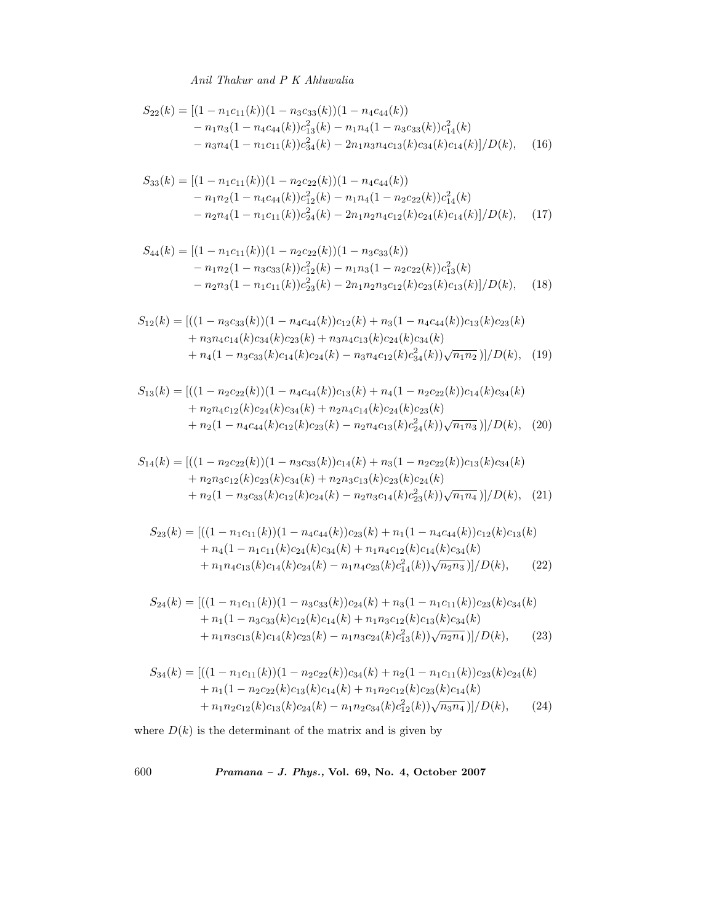*Anil Thakur and P K Ahluwalia*

$$
S_{22}(k) = [(1 - n_1 c_{11}(k))(1 - n_3 c_{33}(k))(1 - n_4 c_{44}(k))- n_1 n_3 (1 - n_4 c_{44}(k))c_{13}^2(k) - n_1 n_4 (1 - n_3 c_{33}(k))c_{14}^2(k)- n_3 n_4 (1 - n_1 c_{11}(k))c_{34}^2(k) - 2n_1 n_3 n_4 c_{13}(k)c_{34}(k)c_{14}(k)]/D(k), \quad (16)
$$

$$
S_{33}(k) = [(1 - n_1 c_{11}(k))(1 - n_2 c_{22}(k))(1 - n_4 c_{44}(k))- n_1 n_2 (1 - n_4 c_{44}(k))c_{12}^2(k) - n_1 n_4 (1 - n_2 c_{22}(k))c_{14}^2(k)- n_2 n_4 (1 - n_1 c_{11}(k))c_{24}^2(k) - 2n_1 n_2 n_4 c_{12}(k)c_{24}(k)c_{14}(k)]/D(k), (17)
$$

$$
S_{44}(k) = [(1 - n_1 c_{11}(k))(1 - n_2 c_{22}(k))(1 - n_3 c_{33}(k))
$$
  
\n
$$
- n_1 n_2 (1 - n_3 c_{33}(k)) c_{12}^2(k) - n_1 n_3 (1 - n_2 c_{22}(k)) c_{13}^2(k)
$$
  
\n
$$
- n_2 n_3 (1 - n_1 c_{11}(k)) c_{23}^2(k) - 2 n_1 n_2 n_3 c_{12}(k) c_{23}(k) c_{13}(k)] / D(k), \quad (18)
$$

$$
S_{12}(k) = [((1 - n_3c_{33}(k))(1 - n_4c_{44}(k))c_{12}(k) + n_3(1 - n_4c_{44}(k))c_{13}(k)c_{23}(k) + n_3n_4c_{14}(k)c_{34}(k)c_{23}(k) + n_3n_4c_{13}(k)c_{24}(k)c_{34}(k) + n_4(1 - n_3c_{33}(k)c_{14}(k)c_{24}(k) - n_3n_4c_{12}(k)c_{34}^2(k))\sqrt{n_1n_2})]/D(k), \quad (19)
$$

$$
S_{13}(k) = [((1 - n_2c_{22}(k))(1 - n_4c_{44}(k))c_{13}(k) + n_4(1 - n_2c_{22}(k))c_{14}(k)c_{34}(k) + n_2n_4c_{12}(k)c_{24}(k)c_{34}(k) + n_2n_4c_{14}(k)c_{24}(k)c_{23}(k) + n_2(1 - n_4c_{44}(k)c_{12}(k)c_{23}(k) - n_2n_4c_{13}(k)c_{24}^2(k))\sqrt{n_1n_3})]/D(k), \quad (20)
$$

$$
S_{14}(k) = [((1 - n_2c_{22}(k))(1 - n_3c_{33}(k))c_{14}(k) + n_3(1 - n_2c_{22}(k))c_{13}(k)c_{34}(k) + n_2n_3c_{12}(k)c_{23}(k)c_{34}(k) + n_2n_3c_{13}(k)c_{23}(k)c_{24}(k) + n_2(1 - n_3c_{33}(k)c_{12}(k)c_{24}(k) - n_2n_3c_{14}(k)c_{23}^2(k))\sqrt{n_1n_4})]/D(k), \quad (21)
$$

$$
S_{23}(k) = [((1 - n_1c_{11}(k))(1 - n_4c_{44}(k))c_{23}(k) + n_1(1 - n_4c_{44}(k))c_{12}(k)c_{13}(k) + n_4(1 - n_1c_{11}(k)c_{24}(k)c_{34}(k) + n_1n_4c_{12}(k)c_{14}(k)c_{34}(k) + n_1n_4c_{13}(k)c_{14}(k)c_{24}(k) - n_1n_4c_{23}(k)c_{14}^2(k))\sqrt{n_2n_3}]]/D(k),
$$
\n(22)

$$
S_{24}(k) = [((1 - n_1c_{11}(k))(1 - n_3c_{33}(k))c_{24}(k) + n_3(1 - n_1c_{11}(k))c_{23}(k)c_{34}(k) + n_1(1 - n_3c_{33}(k)c_{12}(k)c_{14}(k) + n_1n_3c_{12}(k)c_{13}(k)c_{34}(k) + n_1n_3c_{13}(k)c_{14}(k)c_{23}(k) - n_1n_3c_{24}(k)c_{13}^2(k))\sqrt{n_2n_4}]]/D(k),
$$
 (23)

$$
S_{34}(k) = [((1 - n_1c_{11}(k))(1 - n_2c_{22}(k))c_{34}(k) + n_2(1 - n_1c_{11}(k))c_{23}(k)c_{24}(k) + n_1(1 - n_2c_{22}(k)c_{13}(k)c_{14}(k) + n_1n_2c_{12}(k)c_{23}(k)c_{14}(k) + n_1n_2c_{12}(k)c_{13}(k)c_{24}(k) - n_1n_2c_{34}(k)c_{12}^2(k))\sqrt{n_3n_4}]]/D(k), \qquad (24)
$$

where  $D(k)$  is the determinant of the matrix and is given by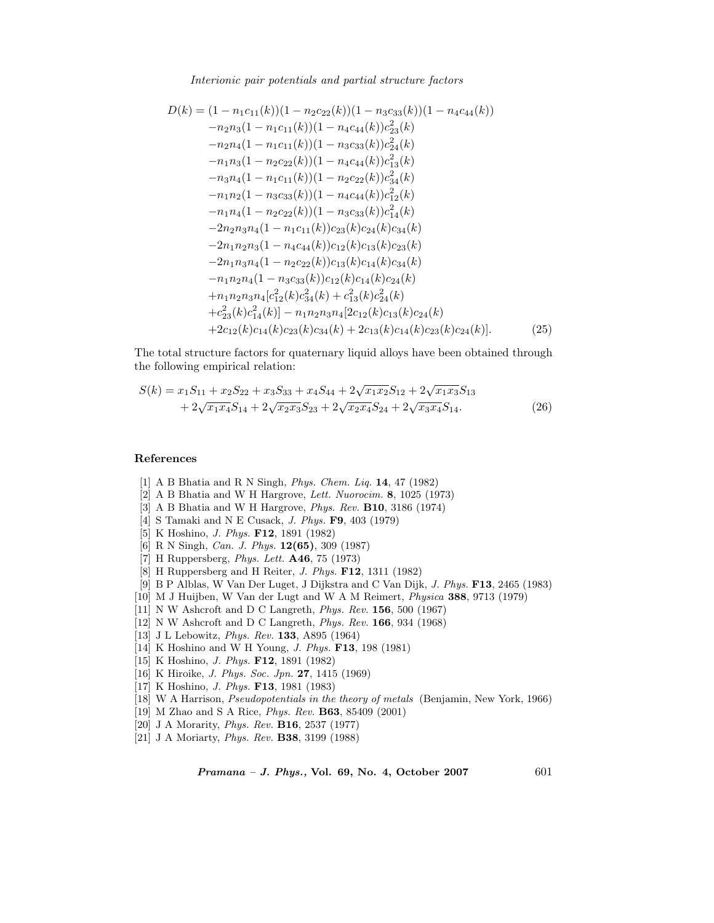*Interionic pair potentials and partial structure factors*

$$
D(k) = (1 - n_1c_{11}(k))(1 - n_2c_{22}(k))(1 - n_3c_{33}(k))(1 - n_4c_{44}(k))
$$
  
\n
$$
-n_2n_3(1 - n_1c_{11}(k))(1 - n_4c_{44}(k))c_{23}^2(k)
$$
  
\n
$$
-n_2n_4(1 - n_1c_{11}(k))(1 - n_3c_{33}(k))c_{24}^2(k)
$$
  
\n
$$
-n_1n_3(1 - n_2c_{22}(k))(1 - n_4c_{44}(k))c_{13}^2(k)
$$
  
\n
$$
-n_3n_4(1 - n_1c_{11}(k))(1 - n_2c_{22}(k))c_{34}^2(k)
$$
  
\n
$$
-n_1n_2(1 - n_3c_{33}(k))(1 - n_4c_{44}(k))c_{12}^2(k)
$$
  
\n
$$
-n_1n_4(1 - n_2c_{22}(k))(1 - n_3c_{33}(k))c_{14}^2(k)
$$
  
\n
$$
-2n_2n_3n_4(1 - n_1c_{11}(k))c_{23}(k)c_{24}(k)c_{34}(k)
$$
  
\n
$$
-2n_1n_2n_3(1 - n_4c_{44}(k))c_{12}(k)c_{13}(k)c_{23}(k)
$$
  
\n
$$
-2n_1n_3n_4(1 - n_2c_{22}(k))c_{13}(k)c_{14}(k)c_{34}(k)
$$
  
\n
$$
-n_1n_2n_4(1 - n_3c_{33}(k))c_{12}(k)c_{14}(k)c_{34}(k)
$$
  
\n
$$
+n_1n_2n_3n_4[c_{12}^2(k)c_{34}^2(k) + c_{13}^2(k)c_{24}^2(k)
$$
  
\n
$$
+c_{23}^2(k)c_{14}^2(k) - n_1n_2n_3n_4[2c_{12}(k)c_{13}(k)c_{24}(k)
$$
  
\n
$$
+2c_{12}(k)c_{14}(k)c_{23}(k)c_{34}(k) + 2c_{13}(k)c_{14}(k)c_{2
$$

The total structure factors for quaternary liquid alloys have been obtained through the following empirical relation:

$$
S(k) = x_1 S_{11} + x_2 S_{22} + x_3 S_{33} + x_4 S_{44} + 2\sqrt{x_1 x_2} S_{12} + 2\sqrt{x_1 x_3} S_{13}
$$
  
+ 2\sqrt{x\_1 x\_4} S\_{14} + 2\sqrt{x\_2 x\_3} S\_{23} + 2\sqrt{x\_2 x\_4} S\_{24} + 2\sqrt{x\_3 x\_4} S\_{14}. (26)

## **References**

- [1] A B Bhatia and R N Singh, *Phys. Chem. Liq.* **14**, 47 (1982)
- [2] A B Bhatia and W H Hargrove, *Lett. Nuorocim.* **8**, 1025 (1973)
- [3] A B Bhatia and W H Hargrove, *Phys. Rev.* **B10**, 3186 (1974)
- [4] S Tamaki and N E Cusack, *J. Phys.* **F9**, 403 (1979)
- [5] K Hoshino, *J. Phys.* **F12**, 1891 (1982)
- [6] R N Singh, *Can. J. Phys.* **12(65)**, 309 (1987)
- [7] H Ruppersberg, *Phys. Lett.* **A46**, 75 (1973)
- [8] H Ruppersberg and H Reiter, *J. Phys.* **F12**, 1311 (1982)
- [9] B P Alblas, W Van Der Luget, J Dijkstra and C Van Dijk, *J. Phys.* **F13**, 2465 (1983)
- [10] M J Huijben, W Van der Lugt and W A M Reimert, *Physica* **388**, 9713 (1979)
- [11] N W Ashcroft and D C Langreth, *Phys. Rev.* **156**, 500 (1967)
- [12] N W Ashcroft and D C Langreth, *Phys. Rev.* **166**, 934 (1968)
- [13] J L Lebowitz, *Phys. Rev.* **133**, A895 (1964)
- [14] K Hoshino and W H Young, *J. Phys.* **F13**, 198 (1981)
- [15] K Hoshino, *J. Phys.* **F12**, 1891 (1982)
- [16] K Hiroike, *J. Phys. Soc. Jpn.* **27**, 1415 (1969)
- [17] K Hoshino, *J. Phys.* **F13**, 1981 (1983)
- [18] W A Harrison, *Pseudopotentials in the theory of metals* (Benjamin, New York, 1966)
- [19] M Zhao and S A Rice, *Phys. Rev.* **B63**, 85409 (2001)
- [20] J A Morarity, *Phys. Rev.* **B16**, 2537 (1977)
- [21] J A Moriarty, *Phys. Rev.* **B38**, 3199 (1988)